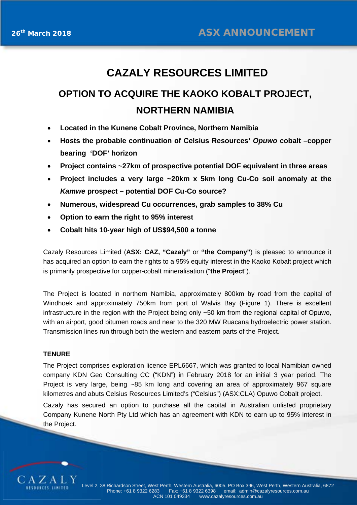## **CAZALY RESOURCES LIMITED**

# **OPTION TO ACQUIRE THE KAOKO KOBALT PROJECT, NORTHERN NAMIBIA**

- **Located in the Kunene Cobalt Province, Northern Namibia**
- **Hosts the probable continuation of Celsius Resources'** *Opuwo* **cobalt –copper bearing 'DOF' horizon**
- **Project contains ~27km of prospective potential DOF equivalent in three areas**
- **Project includes a very large ~20km x 5km long Cu-Co soil anomaly at the**  *Kamwe* **prospect – potential DOF Cu-Co source?**
- **Numerous, widespread Cu occurrences, grab samples to 38% Cu**
- **Option to earn the right to 95% interest**
- **Cobalt hits 10-year high of US\$94,500 a tonne**

Cazaly Resources Limited (**ASX: CAZ, "Cazaly"** or **"the Company"**) is pleased to announce it has acquired an option to earn the rights to a 95% equity interest in the Kaoko Kobalt project which is primarily prospective for copper-cobalt mineralisation ("**the Project**").

The Project is located in northern Namibia, approximately 800km by road from the capital of Windhoek and approximately 750km from port of Walvis Bay (Figure 1). There is excellent infrastructure in the region with the Project being only ~50 km from the regional capital of Opuwo, with an airport, good bitumen roads and near to the 320 MW Ruacana hydroelectric power station. Transmission lines run through both the western and eastern parts of the Project.

#### **TENURE**

The Project comprises exploration licence EPL6667, which was granted to local Namibian owned company KDN Geo Consulting CC ("KDN") in February 2018 for an initial 3 year period. The Project is very large, being ~85 km long and covering an area of approximately 967 square kilometres and abuts Celsius Resources Limited's ("Celsius") (ASX:CLA) Opuwo Cobalt project.

Cazaly has secured an option to purchase all the capital in Australian unlisted proprietary Company Kunene North Pty Ltd which has an agreement with KDN to earn up to 95% interest in the Project.

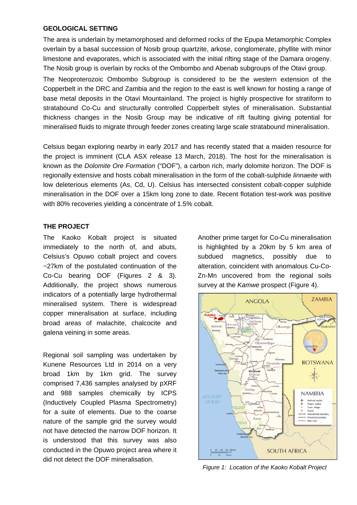#### **GEOLOGICAL SETTING**

The area is underlain by metamorphosed and deformed rocks of the Epupa Metamorphic Complex overlain by a basal succession of Nosib group quartzite, arkose, conglomerate, phyllite with minor limestone and evaporates, which is associated with the initial rifting stage of the Damara orogeny. The Nosib group is overlain by rocks of the Ombombo and Abenab subgroups of the Otavi group.

The Neoproterozoic Ombombo Subgroup is considered to be the western extension of the Copperbelt in the DRC and Zambia and the region to the east is well known for hosting a range of base metal deposits in the Otavi Mountainland. The project is highly prospective for stratiform to stratabound Co-Cu and structurally controlled Copperbelt styles of mineralisation. Substantial thickness changes in the Nosib Group may be indicative of rift faulting giving potential for mineralised fluids to migrate through feeder zones creating large scale stratabound mineralisation.

Celsius began exploring nearby in early 2017 and has recently stated that a maiden resource for the project is imminent (CLA ASX release 13 March, 2018). The host for the mineralisation is known as the *Dolomite Ore Formation* ("DOF"), a carbon rich, marly dolomite horizon. The DOF is regionally extensive and hosts cobalt mineralisation in the form of the cobalt-sulphide *linnaeite* with low deleterious elements (As, Cd, U). Celsius has intersected consistent cobalt-copper sulphide mineralisation in the DOF over a 15km long zone to date. Recent flotation test-work was positive with 80% recoveries yielding a concentrate of 1.5% cobalt.

## **THE PROJECT**

The Kaoko Kobalt project is situated immediately to the north of, and abuts, Celsius's Opuwo cobalt project and covers ~27km of the postulated continuation of the Co-Cu bearing DOF (Figures 2 & 3). Additionally, the project shows numerous indicators of a potentially large hydrothermal mineralised system. There is widespread copper mineralisation at surface, including broad areas of malachite, chalcocite and galena veining in some areas.

Regional soil sampling was undertaken by Kunene Resources Ltd in 2014 on a very broad 1km by 1km grid. The survey comprised 7,436 samples analysed by pXRF and 988 samples chemically by ICPS (Inductively Coupled Plasma Spectrometry) for a suite of elements. Due to the coarse nature of the sample grid the survey would not have detected the narrow DOF horizon. It is understood that this survey was also conducted in the Opuwo project area where it did not detect the DOF mineralisation.

Another prime target for Co-Cu mineralisation is highlighted by a 20km by 5 km area of subdued magnetics, possibly due to alteration, coincident with anomalous Cu-Co-Zn-Mn uncovered from the regional soils survey at the *Kamwe* prospect (Figure 4).



*Figure 1: Location of the Kaoko Kobalt Project*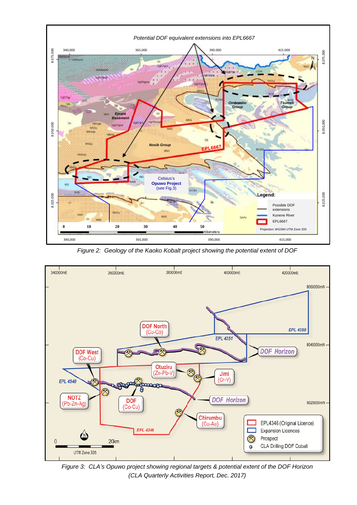

*Figure 2: Geology of the Kaoko Kobalt project showing the potential extent of DOF* 



*Figure 3: CLA's Opuwo project showing regional targets & potential extent of the DOF Horizon (CLA Quarterly Activities Report, Dec. 2017)*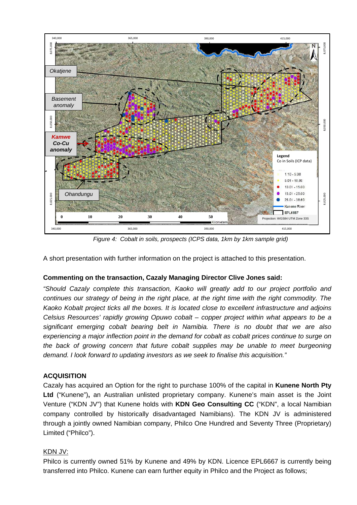

*Figure 4: Cobalt in soils, prospects (ICPS data, 1km by 1km sample grid)*

A short presentation with further information on the project is attached to this presentation.

#### **Commenting on the transaction, Cazaly Managing Director Clive Jones said:**

*"Should Cazaly complete this transaction, Kaoko will greatly add to our project portfolio and continues our strategy of being in the right place, at the right time with the right commodity. The Kaoko Kobalt project ticks all the boxes. It is located close to excellent infrastructure and adjoins Celsius Resources' rapidly growing Opuwo cobalt – copper project within what appears to be a significant emerging cobalt bearing belt in Namibia. There is no doubt that we are also experiencing a major inflection point in the demand for cobalt as cobalt prices continue to surge on the back of growing concern that future cobalt supplies may be unable to meet burgeoning demand. I look forward to updating investors as we seek to finalise this acquisition."* 

#### **ACQUISITION**

Cazaly has acquired an Option for the right to purchase 100% of the capital in **Kunene North Pty Ltd** ("Kunene")**,** an Australian unlisted proprietary company. Kunene's main asset is the Joint Venture ("KDN JV") that Kunene holds with **KDN Geo Consulting CC** ("KDN", a local Namibian company controlled by historically disadvantaged Namibians). The KDN JV is administered through a jointly owned Namibian company, Philco One Hundred and Seventy Three (Proprietary) Limited ("Philco").

## KDN JV:

Philco is currently owned 51% by Kunene and 49% by KDN. Licence EPL6667 is currently being transferred into Philco. Kunene can earn further equity in Philco and the Project as follows;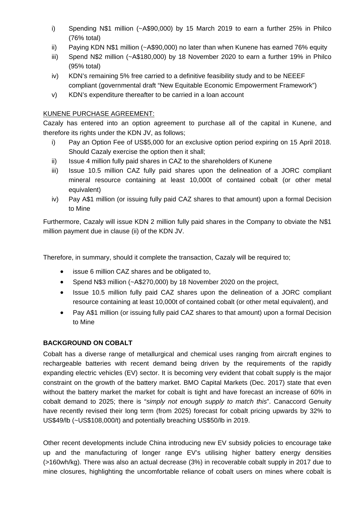- i) Spending N\$1 million (~A\$90,000) by 15 March 2019 to earn a further 25% in Philco (76% total)
- ii) Paying KDN N\$1 million (~A\$90,000) no later than when Kunene has earned 76% equity
- iii) Spend N\$2 million (~A\$180,000) by 18 November 2020 to earn a further 19% in Philco (95% total)
- iv) KDN's remaining 5% free carried to a definitive feasibility study and to be NEEEF compliant (governmental draft "New Equitable Economic Empowerment Framework")
- v) KDN's expenditure thereafter to be carried in a loan account

## KUNENE PURCHASE AGREEMENT:

Cazaly has entered into an option agreement to purchase all of the capital in Kunene, and therefore its rights under the KDN JV, as follows;

- i) Pay an Option Fee of US\$5,000 for an exclusive option period expiring on 15 April 2018. Should Cazaly exercise the option then it shall;
- ii) Issue 4 million fully paid shares in CAZ to the shareholders of Kunene
- iii) Issue 10.5 million CAZ fully paid shares upon the delineation of a JORC compliant mineral resource containing at least 10,000t of contained cobalt (or other metal equivalent)
- iv) Pay A\$1 million (or issuing fully paid CAZ shares to that amount) upon a formal Decision to Mine

Furthermore, Cazaly will issue KDN 2 million fully paid shares in the Company to obviate the N\$1 million payment due in clause (ii) of the KDN JV.

Therefore, in summary, should it complete the transaction, Cazaly will be required to;

- issue 6 million CAZ shares and be obligated to,
- Spend N\$3 million (~A\$270,000) by 18 November 2020 on the project,
- Issue 10.5 million fully paid CAZ shares upon the delineation of a JORC compliant resource containing at least 10,000t of contained cobalt (or other metal equivalent), and
- Pay A\$1 million (or issuing fully paid CAZ shares to that amount) upon a formal Decision to Mine

## **BACKGROUND ON COBALT**

Cobalt has a diverse range of metallurgical and chemical uses ranging from aircraft engines to rechargeable batteries with recent demand being driven by the requirements of the rapidly expanding electric vehicles (EV) sector. It is becoming very evident that cobalt supply is the major constraint on the growth of the battery market. BMO Capital Markets (Dec. 2017) state that even without the battery market the market for cobalt is tight and have forecast an increase of 60% in cobalt demand to 2025; there is "*simply not enough supply to match this*". Canaccord Genuity have recently revised their long term (from 2025) forecast for cobalt pricing upwards by 32% to US\$49/lb (~US\$108,000/t) and potentially breaching US\$50/lb in 2019.

Other recent developments include China introducing new EV subsidy policies to encourage take up and the manufacturing of longer range EV's utilising higher battery energy densities (>160wh/kg). There was also an actual decrease (3%) in recoverable cobalt supply in 2017 due to mine closures, highlighting the uncomfortable reliance of cobalt users on mines where cobalt is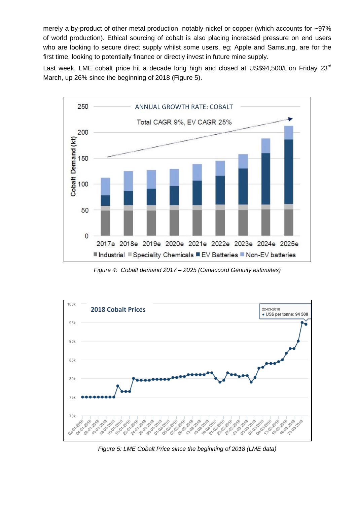merely a by-product of other metal production, notably nickel or copper (which accounts for ~97% of world production). Ethical sourcing of cobalt is also placing increased pressure on end users who are looking to secure direct supply whilst some users, eg; Apple and Samsung, are for the first time, looking to potentially finance or directly invest in future mine supply.

Last week, LME cobalt price hit a decade long high and closed at US\$94,500/t on Friday 23<sup>rd</sup> March, up 26% since the beginning of 2018 (Figure 5).



*Figure 4: Cobalt demand 2017 – 2025 (Canaccord Genuity estimates)*



*Figure 5: LME Cobalt Price since the beginning of 2018 (LME data)*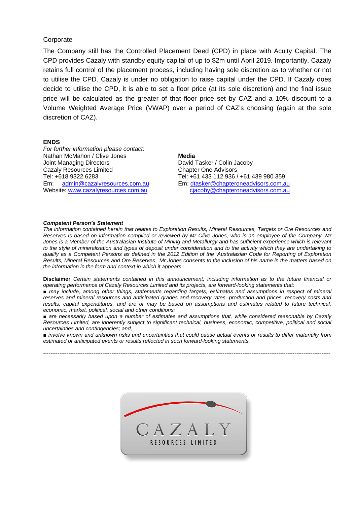#### **Corporate**

The Company still has the Controlled Placement Deed (CPD) in place with Acuity Capital. The CPD provides Cazaly with standby equity capital of up to \$2m until April 2019. Importantly, Cazaly retains full control of the placement process, including having sole discretion as to whether or not to utilise the CPD. Cazaly is under no obligation to raise capital under the CPD. If Cazaly does decide to utilise the CPD, it is able to set a floor price (at its sole discretion) and the final issue price will be calculated as the greater of that floor price set by CAZ and a 10% discount to a Volume Weighted Average Price (VWAP) over a period of CAZ's choosing (again at the sole discretion of CAZ).

#### **ENDS**

*For further information please contact:* Nathan McMahon / Clive Jones Joint Managing Directors Cazaly Resources Limited Tel: +618 9322 6283 Em: [admin@cazalyresources.com.au](mailto:admin@cazalyresources.com.au) Website: [www.cazalyresources.com.au](http://www.cazalyresources.com.au/)

#### **Media**

David Tasker / Colin Jacoby Chapter One Advisors Tel: +61 433 112 936 / +61 439 980 359 Em: [dtasker@chapteroneadvisors.com.au](mailto:dtasker@chapteroneadvisors.com.au)  [cjacoby@chapteroneadvisors.com.au](mailto:cjacoby@chapteroneadvisors.com.au) 

#### *Competent Person's Statement*

*The information contained herein that relates to Exploration Results, Mineral Resources, Targets or Ore Resources and Reserves is based on information compiled or reviewed by Mr Clive Jones, who is an employee of the Company. Mr Jones is a Member of the Australasian Institute of Mining and Metallurgy and has sufficient experience which is relevant to the style of mineralisation and types of deposit under consideration and to the activity which they are undertaking to qualify as a Competent Persons as defined in the 2012 Edition of the 'Australasian Code for Reporting of Exploration Results, Mineral Resources and Ore Reserves'. Mr Jones consents to the inclusion of his name in the matters based on the information in the form and context in which it appears.* 

**Disclaimer** *Certain statements contained in this announcement, including information as to the future financial or operating performance of Cazaly Resources Limited and its projects, are forward-looking statements that:* 

*■ may include, among other things, statements regarding targets, estimates and assumptions in respect of mineral reserves and mineral resources and anticipated grades and recovery rates, production and prices, recovery costs and results, capital expenditures, and are or may be based on assumptions and estimates related to future technical, economic, market, political, social and other conditions;* 

■ are necessarily based upon a number of estimates and assumptions that, while considered reasonable by Cazaly *Resources Limited, are inherently subject to significant technical, business, economic, competitive, political and social uncertainties and contingencies; and,* 

*■ involve known and unknown risks and uncertainties that could cause actual events or results to differ materially from estimated or anticipated events or results reflected in such forward-looking statements.*

*----------------------------------------------------------------------------------------------------------------------------------------------------------------*